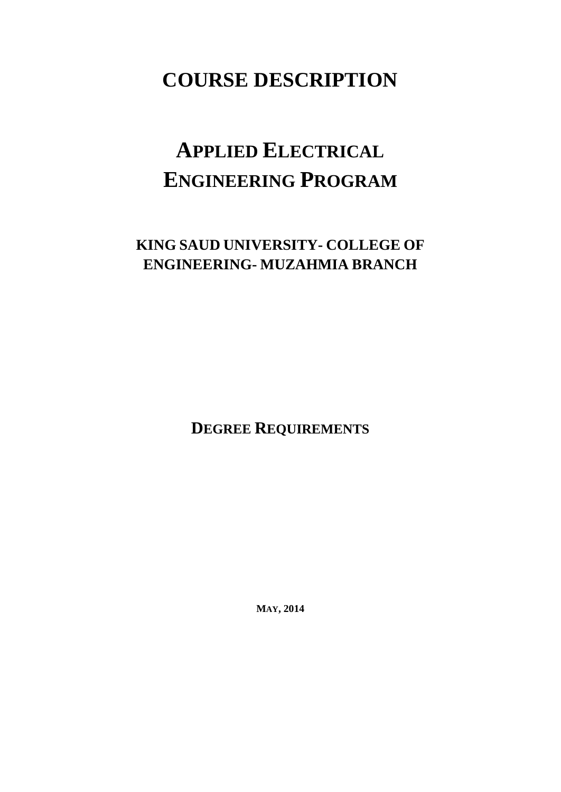# **COURSE DESCRIPTION**

# **APPLIED ELECTRICAL ENGINEERING PROGRAM**

## **KING SAUD UNIVERSITY- COLLEGE OF ENGINEERING- MUZAHMIA BRANCH**

**DEGREE REQUIREMENTS**

**MAY, 2014**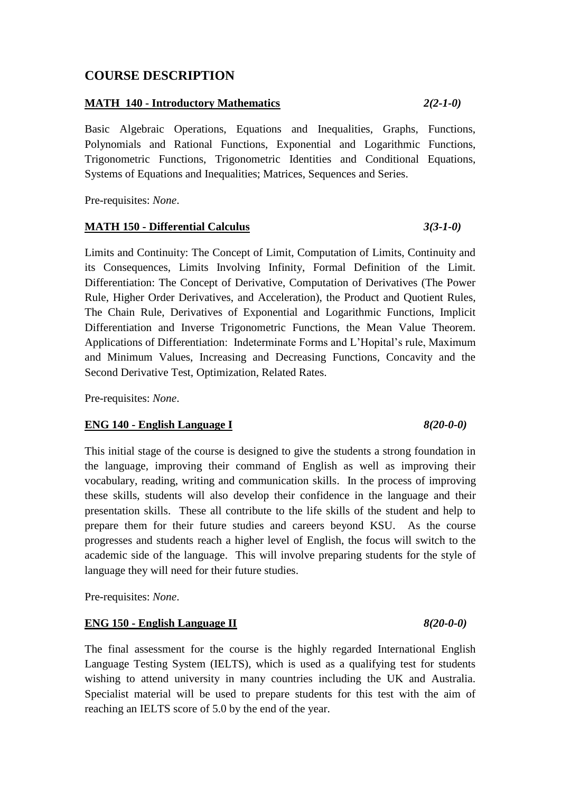### **COURSE DESCRIPTION**

### **MATH 140 - Introductory Mathematics** *2(2-1-0)*

Basic Algebraic Operations, Equations and Inequalities, Graphs, Functions, Polynomials and Rational Functions, Exponential and Logarithmic Functions, Trigonometric Functions, Trigonometric Identities and Conditional Equations, Systems of Equations and Inequalities; Matrices, Sequences and Series.

Pre-requisites: *None*.

### **MATH 150 - Differential Calculus** *3(3-1-0)*

Limits and Continuity: The Concept of Limit, Computation of Limits, Continuity and its Consequences, Limits Involving Infinity, Formal Definition of the Limit. Differentiation: The Concept of Derivative, Computation of Derivatives (The Power Rule, Higher Order Derivatives, and Acceleration), the Product and Quotient Rules, The Chain Rule, Derivatives of Exponential and Logarithmic Functions, Implicit Differentiation and Inverse Trigonometric Functions, the Mean Value Theorem. Applications of Differentiation: Indeterminate Forms and L'Hopital's rule, Maximum and Minimum Values, Increasing and Decreasing Functions, Concavity and the Second Derivative Test, Optimization, Related Rates.

Pre-requisites: *None*.

### **ENG 140 - English Language I** *8(20-0-0)*

This initial stage of the course is designed to give the students a strong foundation in the language, improving their command of English as well as improving their vocabulary, reading, writing and communication skills. In the process of improving these skills, students will also develop their confidence in the language and their presentation skills. These all contribute to the life skills of the student and help to prepare them for their future studies and careers beyond KSU. As the course progresses and students reach a higher level of English, the focus will switch to the academic side of the language. This will involve preparing students for the style of language they will need for their future studies.

Pre-requisites: *None*.

### **ENG 150 - English Language II** *8(20-0-0)*

The final assessment for the course is the highly regarded International English Language Testing System (IELTS), which is used as a qualifying test for students wishing to attend university in many countries including the UK and Australia. Specialist material will be used to prepare students for this test with the aim of reaching an IELTS score of 5.0 by the end of the year.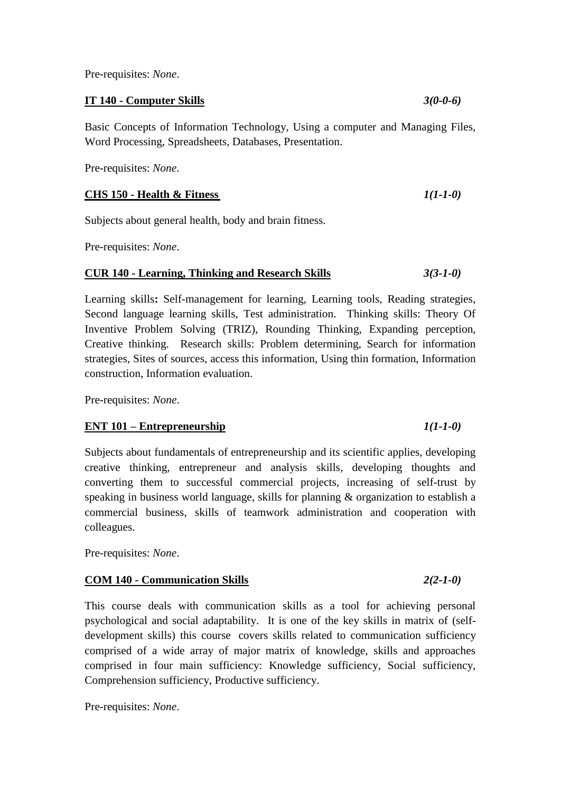Pre-requisites: *None*.

**IT 140 - Computer Skills** *3(0-0-6)*

Basic Concepts of Information Technology, Using a computer and Managing Files, Word Processing, Spreadsheets, Databases, Presentation.

Pre-requisites: *None*.

### **CHS 150 - Health & Fitness** *1(1-1-0)*

Subjects about general health, body and brain fitness.

Pre-requisites: *None*.

### **CUR 140 - Learning, Thinking and Research Skills** *3(3-1-0)*

Learning skills**:** Self-management for learning, Learning tools, Reading strategies, Second language learning skills, Test administration. Thinking skills: Theory Of Inventive Problem Solving (TRIZ), Rounding Thinking, Expanding perception, Creative thinking. Research skills: Problem determining, Search for information strategies, Sites of sources, access this information, Using thin formation, Information construction, Information evaluation.

Pre-requisites: *None*.

### **ENT 101 – Entrepreneurship** *1(1-1-0)*

Subjects about fundamentals of entrepreneurship and its scientific applies, developing creative thinking, entrepreneur and analysis skills, developing thoughts and converting them to successful commercial projects, increasing of self-trust by speaking in business world language, skills for planning & organization to establish a commercial business, skills of teamwork administration and cooperation with colleagues.

Pre-requisites: *None*.

### **COM 140 - Communication Skills** *2(2-1-0)*

This course deals with communication skills as a tool for achieving personal psychological and social adaptability. It is one of the key skills in matrix of (selfdevelopment skills) this course covers skills related to communication sufficiency comprised of a wide array of major matrix of knowledge, skills and approaches comprised in four main sufficiency: Knowledge sufficiency, Social sufficiency, Comprehension sufficiency, Productive sufficiency.

Pre-requisites: *None*.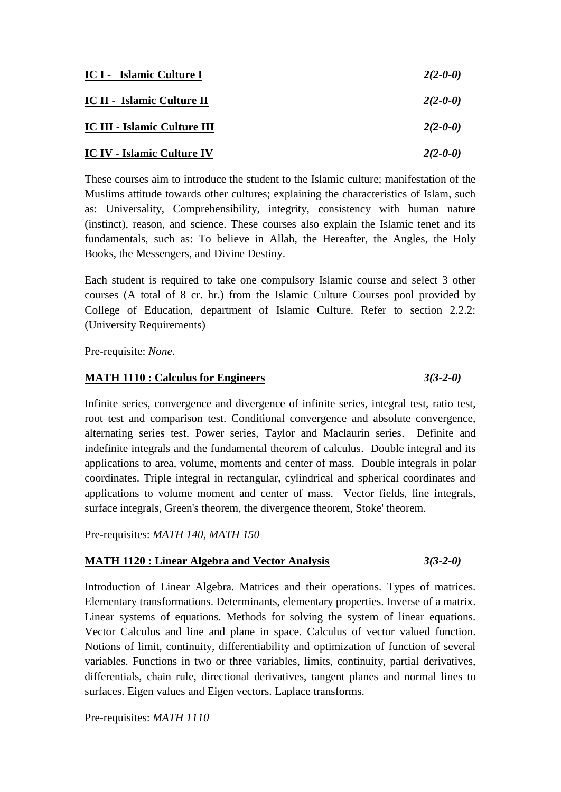| IC I - Islamic Culture I            | $2(2-0-0)$ |
|-------------------------------------|------------|
| IC II - Islamic Culture II          | $2(2-0-0)$ |
| <b>IC III - Islamic Culture III</b> | $2(2-0-0)$ |
| <b>IC IV - Islamic Culture IV</b>   | $2(2-0-0)$ |

These courses aim to introduce the student to the Islamic culture; manifestation of the Muslims attitude towards other cultures; explaining the characteristics of Islam, such as: Universality, Comprehensibility, integrity, consistency with human nature (instinct), reason, and science. These courses also explain the Islamic tenet and its fundamentals, such as: To believe in Allah, the Hereafter, the Angles, the Holy Books, the Messengers, and Divine Destiny.

Each student is required to take one compulsory Islamic course and select 3 other courses (A total of 8 cr. hr.) from the Islamic Culture Courses pool provided by College of Education, department of Islamic Culture. Refer to section 2.2.2: (University Requirements)

Pre-requisite: *None*.

### **MATH 1110 : Calculus for Engineers** *3(3-2-0)*

Infinite series, convergence and divergence of infinite series, integral test, ratio test, root test and comparison test. Conditional convergence and absolute convergence, alternating series test. Power series, Taylor and Maclaurin series. Definite and indefinite integrals and the fundamental theorem of calculus. Double integral and its applications to area, volume, moments and center of mass. Double integrals in polar coordinates. Triple integral in rectangular, cylindrical and spherical coordinates and applications to volume moment and center of mass. Vector fields, line integrals, surface integrals, Green's theorem, the divergence theorem, Stoke' theorem.

Pre-requisites: *MATH 140, MATH 150*

### **MATH 1120 : Linear Algebra and Vector Analysis** *3(3-2-0)*

Introduction of Linear Algebra. Matrices and their operations. Types of matrices. Elementary transformations. Determinants, elementary properties. Inverse of a matrix. Linear systems of equations. Methods for solving the system of linear equations. Vector Calculus and line and plane in space. Calculus of vector valued function. Notions of limit, continuity, differentiability and optimization of function of several variables. Functions in two or three variables, limits, continuity, partial derivatives, differentials, chain rule, directional derivatives, tangent planes and normal lines to surfaces. Eigen values and Eigen vectors. Laplace transforms.

Pre-requisites: *MATH 1110*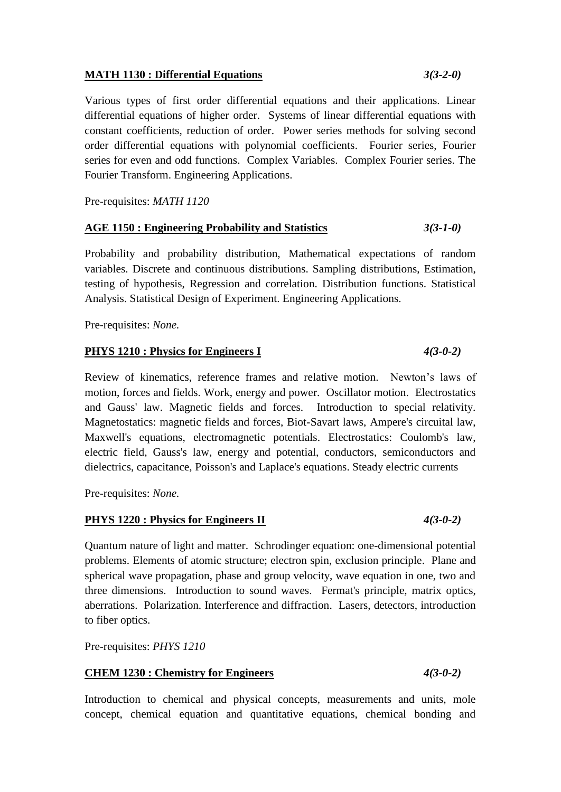### **MATH 1130 : Differential Equations** *3(3-2-0)*

Various types of first order differential equations and their applications. Linear differential equations of higher order. Systems of linear differential equations with constant coefficients, reduction of order. Power series methods for solving second order differential equations with polynomial coefficients. Fourier series, Fourier series for even and odd functions. Complex Variables. Complex Fourier series. The Fourier Transform. Engineering Applications.

Pre-requisites: *MATH 1120*

### **AGE 1150 : Engineering Probability and Statistics** *3(3-1-0)*

Probability and probability distribution, Mathematical expectations of random variables. Discrete and continuous distributions. Sampling distributions, Estimation, testing of hypothesis, Regression and correlation. Distribution functions. Statistical Analysis. Statistical Design of Experiment. Engineering Applications.

Pre-requisites: *None.*

### **PHYS 1210 : Physics for Engineers I** *4(3-0-2)*

Review of kinematics, reference frames and relative motion. Newton's laws of motion, forces and fields. Work, energy and power. Oscillator motion. Electrostatics and Gauss' law. Magnetic fields and forces. Introduction to special relativity. Magnetostatics: magnetic fields and forces, Biot-Savart laws, Ampere's circuital law, Maxwell's equations, electromagnetic potentials. Electrostatics: Coulomb's law, electric field, Gauss's law, energy and potential, conductors, semiconductors and dielectrics, capacitance, Poisson's and Laplace's equations. Steady electric currents

Pre-requisites: *None.*

### **PHYS 1220 : Physics for Engineers II** *4(3-0-2)*

Quantum nature of light and matter. Schrodinger equation: one-dimensional potential problems. Elements of atomic structure; electron spin, exclusion principle. Plane and spherical wave propagation, phase and group velocity, wave equation in one, two and three dimensions. Introduction to sound waves. Fermat's principle, matrix optics, aberrations. Polarization. Interference and diffraction. Lasers, detectors, introduction to fiber optics.

Pre-requisites: *PHYS 1210*

### **CHEM 1230 : Chemistry for Engineers** *4(3-0-2)*

Introduction to chemical and physical concepts, measurements and units, mole concept, chemical equation and quantitative equations, chemical bonding and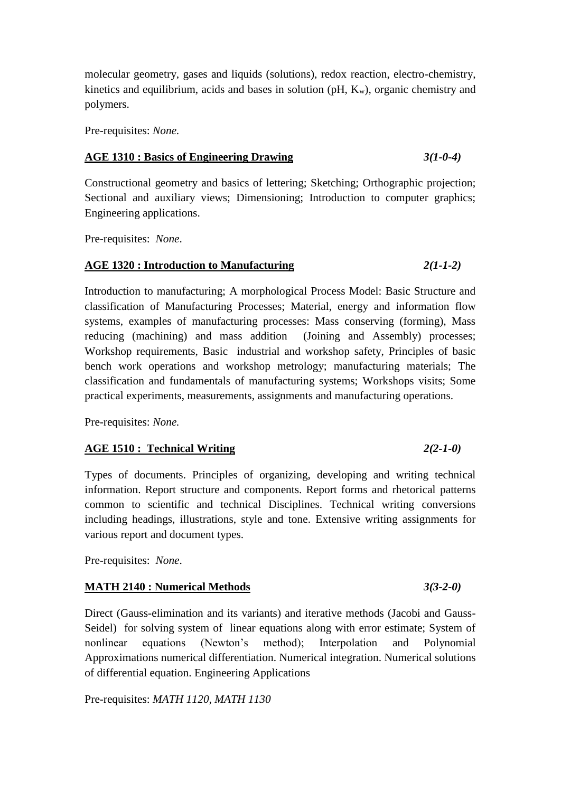molecular geometry, gases and liquids (solutions), redox reaction, electro-chemistry, kinetics and equilibrium, acids and bases in solution ( $pH$ ,  $K_w$ ), organic chemistry and polymers.

Pre-requisites: *None.*

### **AGE 1310 : Basics of Engineering Drawing** *3(1-0-4)*

Constructional geometry and basics of lettering; Sketching; Orthographic projection; Sectional and auxiliary views; Dimensioning; Introduction to computer graphics; Engineering applications.

Pre-requisites: *None*.

### **AGE 1320 : Introduction to Manufacturing** *2(1-1-2)*

Introduction to manufacturing; A morphological Process Model: Basic Structure and classification of Manufacturing Processes; Material, energy and information flow systems, examples of manufacturing processes: Mass conserving (forming), Mass reducing (machining) and mass addition (Joining and Assembly) processes; Workshop requirements, Basic industrial and workshop safety, Principles of basic bench work operations and workshop metrology; manufacturing materials; The classification and fundamentals of manufacturing systems; Workshops visits; Some practical experiments, measurements, assignments and manufacturing operations.

Pre-requisites: *None.*

### **AGE 1510 : Technical Writing** *2(2-1-0)*

Types of documents. Principles of organizing, developing and writing technical information. Report structure and components. Report forms and rhetorical patterns common to scientific and technical Disciplines. Technical writing conversions including headings, illustrations, style and tone. Extensive writing assignments for various report and document types.

Pre-requisites: *None*.

### **MATH 2140 : Numerical Methods** *3(3-2-0)*

Direct (Gauss-elimination and its variants) and iterative methods (Jacobi and Gauss-Seidel) for solving system of linear equations along with error estimate; System of nonlinear equations (Newton's method); Interpolation and Polynomial Approximations numerical differentiation. Numerical integration. Numerical solutions of differential equation. Engineering Applications

Pre-requisites: *MATH 1120, MATH 1130*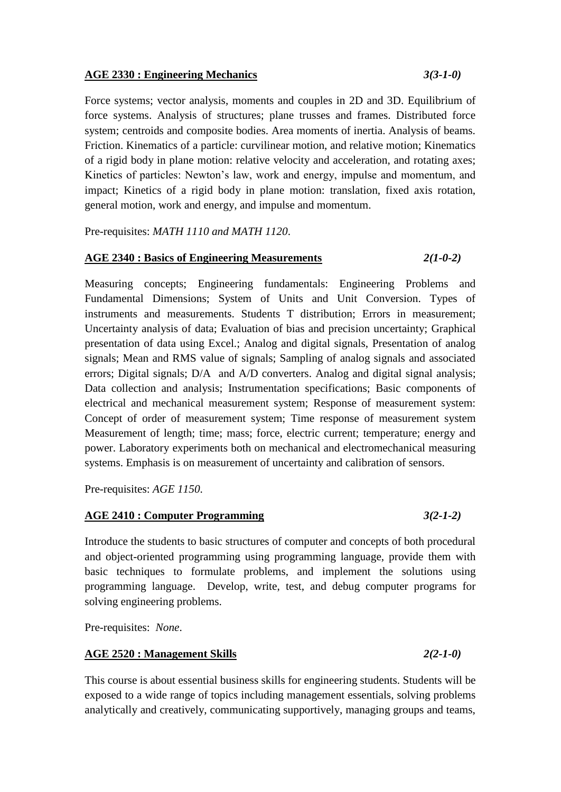### **AGE 2330 : Engineering Mechanics** *3(3-1-0)*

Force systems; vector analysis, moments and couples in 2D and 3D. Equilibrium of force systems. Analysis of structures; plane trusses and frames. Distributed force system; centroids and composite bodies. Area moments of inertia. Analysis of beams. Friction. Kinematics of a particle: curvilinear motion, and relative motion; Kinematics of a rigid body in plane motion: relative velocity and acceleration, and rotating axes; Kinetics of particles: Newton's law, work and energy, impulse and momentum, and impact; Kinetics of a rigid body in plane motion: translation, fixed axis rotation, general motion, work and energy, and impulse and momentum.

Pre-requisites: *MATH 1110 and MATH 1120*.

### **AGE 2340 : Basics of Engineering Measurements** *2(1-0-2)*

Measuring concepts; Engineering fundamentals: Engineering Problems and Fundamental Dimensions; System of Units and Unit Conversion. Types of instruments and measurements. Students T distribution; Errors in measurement; Uncertainty analysis of data; Evaluation of bias and precision uncertainty; Graphical presentation of data using Excel.; Analog and digital signals, Presentation of analog signals; Mean and RMS value of signals; Sampling of analog signals and associated errors; Digital signals; D/A and A/D converters. Analog and digital signal analysis; Data collection and analysis; Instrumentation specifications; Basic components of electrical and mechanical measurement system; Response of measurement system: Concept of order of measurement system; Time response of measurement system Measurement of length; time; mass; force, electric current; temperature; energy and power. Laboratory experiments both on mechanical and electromechanical measuring systems. Emphasis is on measurement of uncertainty and calibration of sensors.

Pre-requisites: *AGE 1150.*

### **AGE 2410 : Computer Programming** *3(2-1-2)*

Introduce the students to basic structures of computer and concepts of both procedural and object-oriented programming using programming language, provide them with basic techniques to formulate problems, and implement the solutions using programming language. Develop, write, test, and debug computer programs for solving engineering problems.

Pre-requisites: *None*.

### **AGE 2520 : Management Skills** *2(2-1-0)*

This course is about essential business skills for engineering students. Students will be exposed to a wide range of topics including management essentials, solving problems analytically and creatively, communicating supportively, managing groups and teams,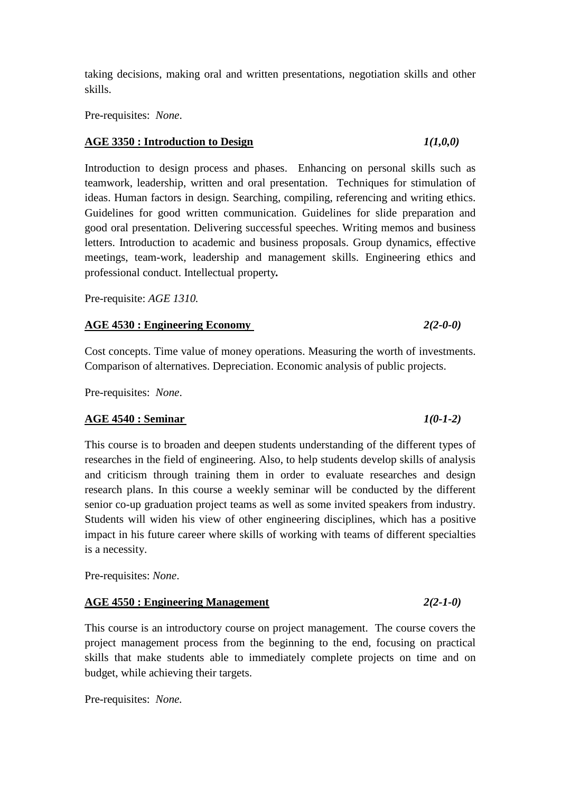taking decisions, making oral and written presentations, negotiation skills and other skills.

Pre-requisites: *None*.

### **AGE 3350 : Introduction to Design** *1(1,0,0)*

Introduction to design process and phases. Enhancing on personal skills such as teamwork, leadership, written and oral presentation. Techniques for stimulation of ideas. Human factors in design. Searching, compiling, referencing and writing ethics. Guidelines for good written communication. Guidelines for slide preparation and good oral presentation. Delivering successful speeches. Writing memos and business letters. Introduction to academic and business proposals. Group dynamics, effective meetings, team-work, leadership and management skills. Engineering ethics and professional conduct. Intellectual property*.*

Pre-requisite: *AGE 1310.*

### **AGE 4530 : Engineering Economy** *2(2-0-0)*

Cost concepts. Time value of money operations. Measuring the worth of investments. Comparison of alternatives. Depreciation. Economic analysis of public projects.

Pre-requisites: *None*.

### **AGE 4540 : Seminar** *1(0-1-2)*

This course is to broaden and deepen students understanding of the different types of researches in the field of engineering. Also, to help students develop skills of analysis and criticism through training them in order to evaluate researches and design research plans. In this course a weekly seminar will be conducted by the different senior co-up graduation project teams as well as some invited speakers from industry. Students will widen his view of other engineering disciplines, which has a positive impact in his future career where skills of working with teams of different specialties is a necessity.

Pre-requisites: *None*.

### **AGE 4550 : Engineering Management** *2(2-1-0)*

This course is an introductory course on project management. The course covers the project management process from the beginning to the end, focusing on practical skills that make students able to immediately complete projects on time and on budget, while achieving their targets.

Pre-requisites: *None.*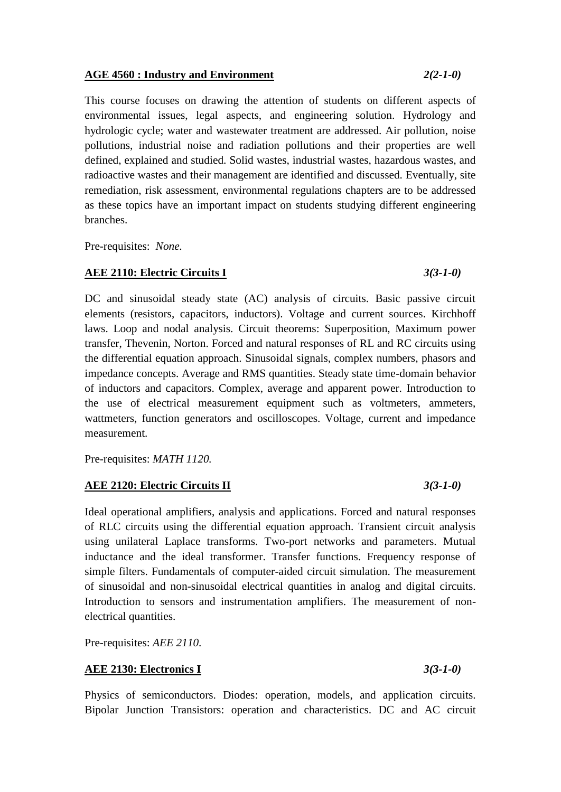### **AGE 4560 : Industry and Environment** *2(2-1-0)*

This course focuses on drawing the attention of students on different aspects of environmental issues, legal aspects, and engineering solution. Hydrology and hydrologic cycle; water and wastewater treatment are addressed. Air pollution, noise pollutions, industrial noise and radiation pollutions and their properties are well defined, explained and studied. Solid wastes, industrial wastes, hazardous wastes, and radioactive wastes and their management are identified and discussed. Eventually, site remediation, risk assessment, environmental regulations chapters are to be addressed as these topics have an important impact on students studying different engineering branches.

Pre-requisites: *None.*

### **AEE 2110: Electric Circuits I** *3(3-1-0)*

DC and sinusoidal steady state (AC) analysis of circuits. Basic passive circuit elements (resistors, capacitors, inductors). Voltage and current sources. Kirchhoff laws. Loop and nodal analysis. Circuit theorems: Superposition, Maximum power transfer, Thevenin, Norton. Forced and natural responses of RL and RC circuits using the differential equation approach. Sinusoidal signals, complex numbers, phasors and impedance concepts. Average and RMS quantities. Steady state time-domain behavior of inductors and capacitors. Complex, average and apparent power. Introduction to the use of electrical measurement equipment such as voltmeters, ammeters, wattmeters, function generators and oscilloscopes. Voltage, current and impedance measurement.

Pre-requisites: *MATH 1120.*

### **AEE 2120: Electric Circuits II** *3(3-1-0)*

Ideal operational amplifiers, analysis and applications. Forced and natural responses of RLC circuits using the differential equation approach. Transient circuit analysis using unilateral Laplace transforms. Two-port networks and parameters. Mutual inductance and the ideal transformer. Transfer functions. Frequency response of simple filters. Fundamentals of computer-aided circuit simulation. The measurement of sinusoidal and non-sinusoidal electrical quantities in analog and digital circuits. Introduction to sensors and instrumentation amplifiers. The measurement of nonelectrical quantities.

Pre-requisites: *AEE 2110.*

### **AEE 2130: Electronics I** *3(3-1-0)*

Physics of semiconductors. Diodes: operation, models, and application circuits. Bipolar Junction Transistors: operation and characteristics. DC and AC circuit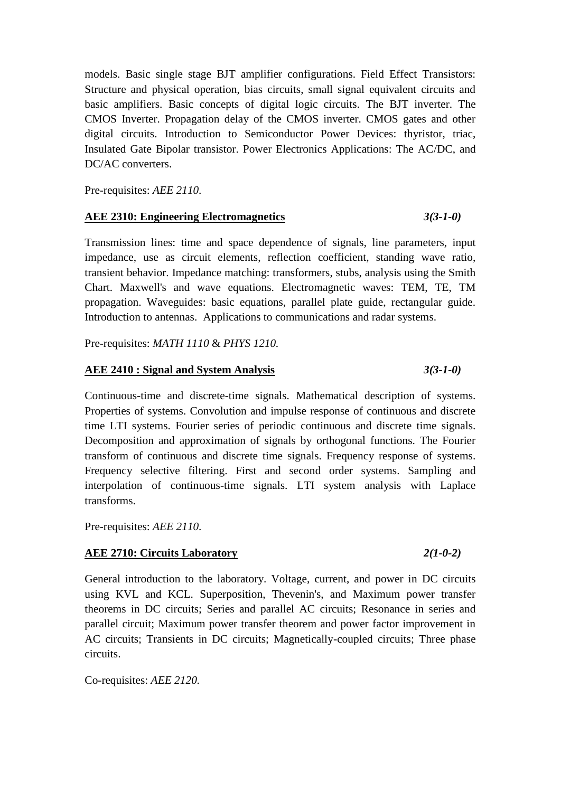models. Basic single stage BJT amplifier configurations. Field Effect Transistors: Structure and physical operation, bias circuits, small signal equivalent circuits and basic amplifiers. Basic concepts of digital logic circuits. The BJT inverter. The CMOS Inverter. Propagation delay of the CMOS inverter. CMOS gates and other digital circuits. Introduction to Semiconductor Power Devices: thyristor, triac, Insulated Gate Bipolar transistor. Power Electronics Applications: The AC/DC, and DC/AC converters.

Pre-requisites: *AEE 2110.*

### **AEE 2310: Engineering Electromagnetics** *3(3-1-0)*

Transmission lines: time and space dependence of signals, line parameters, input impedance, use as circuit elements, reflection coefficient, standing wave ratio, transient behavior. Impedance matching: transformers, stubs, analysis using the Smith Chart. Maxwell's and wave equations. Electromagnetic waves: TEM, TE, TM propagation. Waveguides: basic equations, parallel plate guide, rectangular guide. Introduction to antennas. Applications to communications and radar systems.

Pre-requisites: *MATH 1110* & *PHYS 1210.*

### **AEE 2410 : Signal and System Analysis** *3(3-1-0)*

Continuous-time and discrete-time signals. Mathematical description of systems. Properties of systems. Convolution and impulse response of continuous and discrete time LTI systems. Fourier series of periodic continuous and discrete time signals. Decomposition and approximation of signals by orthogonal functions. The Fourier transform of continuous and discrete time signals. Frequency response of systems. Frequency selective filtering. First and second order systems. Sampling and interpolation of continuous-time signals. LTI system analysis with Laplace transforms.

Pre-requisites: *AEE 2110.*

### **AEE 2710: Circuits Laboratory** *2(1-0-2)*

General introduction to the laboratory. Voltage, current, and power in DC circuits using KVL and KCL. Superposition, Thevenin's, and Maximum power transfer theorems in DC circuits; Series and parallel AC circuits; Resonance in series and parallel circuit; Maximum power transfer theorem and power factor improvement in AC circuits; Transients in DC circuits; Magnetically-coupled circuits; Three phase circuits.

Co-requisites: *AEE 2120.*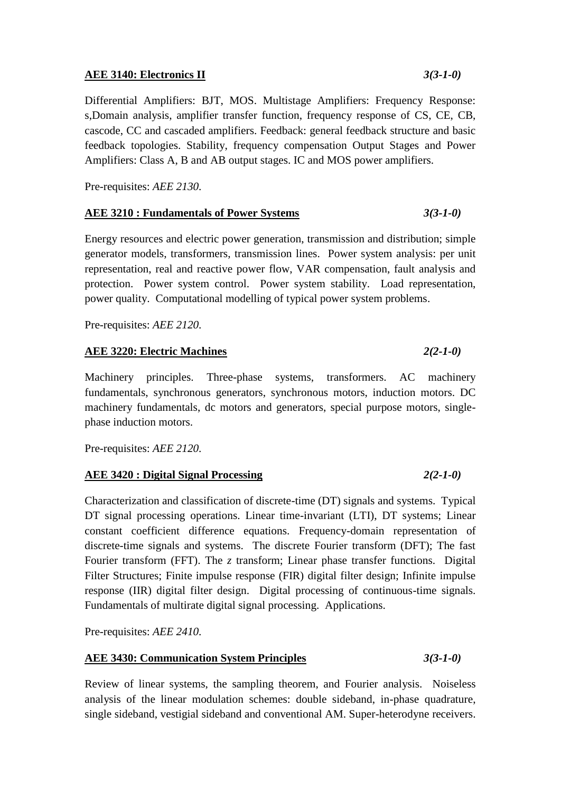### **AEE 3140: Electronics II** *3(3-1-0)*

Differential Amplifiers: BJT, MOS. Multistage Amplifiers: Frequency Response: s,Domain analysis, amplifier transfer function, frequency response of CS, CE, CB, cascode, CC and cascaded amplifiers. Feedback: general feedback structure and basic feedback topologies. Stability, frequency compensation Output Stages and Power Amplifiers: Class A, B and AB output stages. IC and MOS power amplifiers.

Pre-requisites: *AEE 2130.*

### **AEE 3210 : Fundamentals of Power Systems** *3(3-1-0)*

Energy resources and electric power generation, transmission and distribution; simple generator models, transformers, transmission lines. Power system analysis: per unit representation, real and reactive power flow, VAR compensation, fault analysis and protection. Power system control. Power system stability. Load representation, power quality. Computational modelling of typical power system problems.

Pre-requisites: *AEE 2120.*

### **AEE 3220: Electric Machines** *2(2-1-0)*

Machinery principles. Three-phase systems, transformers. AC machinery fundamentals, synchronous generators, synchronous motors, induction motors. DC machinery fundamentals, dc motors and generators, special purpose motors, singlephase induction motors.

Pre-requisites: *AEE 2120.*

### **AEE 3420 : Digital Signal Processing** *2(2-1-0)*

Characterization and classification of discrete-time (DT) signals and systems. Typical DT signal processing operations. Linear time-invariant (LTI), DT systems; Linear constant coefficient difference equations. Frequency-domain representation of discrete-time signals and systems. The discrete Fourier transform (DFT); The fast Fourier transform (FFT). The *z* transform; Linear phase transfer functions. Digital Filter Structures; Finite impulse response (FIR) digital filter design; Infinite impulse response (IIR) digital filter design. Digital processing of continuous-time signals. Fundamentals of multirate digital signal processing. Applications.

Pre-requisites: *AEE 2410.*

### **AEE 3430: Communication System Principles** *3(3-1-0)*

Review of linear systems, the sampling theorem, and Fourier analysis. Noiseless analysis of the linear modulation schemes: double sideband, in-phase quadrature, single sideband, vestigial sideband and conventional AM. Super-heterodyne receivers.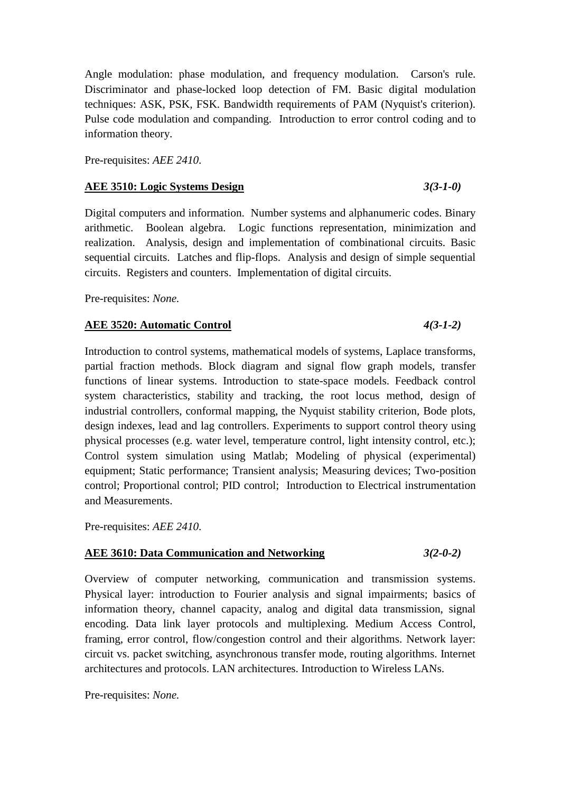Angle modulation: phase modulation, and frequency modulation. Carson's rule. Discriminator and phase-locked loop detection of FM. Basic digital modulation techniques: ASK, PSK, FSK. Bandwidth requirements of PAM (Nyquist's criterion). Pulse code modulation and companding. Introduction to error control coding and to information theory.

Pre-requisites: *AEE 2410.*

### **AEE 3510: Logic Systems Design** *3(3-1-0)*

Digital computers and information. Number systems and alphanumeric codes. Binary arithmetic. Boolean algebra. Logic functions representation, minimization and realization. Analysis, design and implementation of combinational circuits. Basic sequential circuits. Latches and flip-flops. Analysis and design of simple sequential circuits. Registers and counters. Implementation of digital circuits.

Pre-requisites: *None.*

### **AEE 3520: Automatic Control** *4(3-1-2)*

### Introduction to control systems, mathematical models of systems, Laplace transforms, partial fraction methods. Block diagram and signal flow graph models, transfer functions of linear systems. Introduction to state-space models. Feedback control system characteristics, stability and tracking, the root locus method, design of industrial controllers, conformal mapping, the Nyquist stability criterion, Bode plots, design indexes, lead and lag controllers. Experiments to support control theory using physical processes (e.g. water level, temperature control, light intensity control, etc.); Control system simulation using Matlab; Modeling of physical (experimental) equipment; Static performance; Transient analysis; Measuring devices; Two-position control; Proportional control; PID control; Introduction to Electrical instrumentation and Measurements.

Pre-requisites: *AEE 2410.*

### **AEE 3610: Data Communication and Networking** *3(2-0-2)*

Overview of computer networking, communication and transmission systems. Physical layer: introduction to Fourier analysis and signal impairments; basics of information theory, channel capacity, analog and digital data transmission, signal encoding. Data link layer protocols and multiplexing. Medium Access Control, framing, error control, flow/congestion control and their algorithms. Network layer: circuit vs. packet switching, asynchronous transfer mode, routing algorithms. Internet architectures and protocols. LAN architectures. Introduction to Wireless LANs.

Pre-requisites: *None.*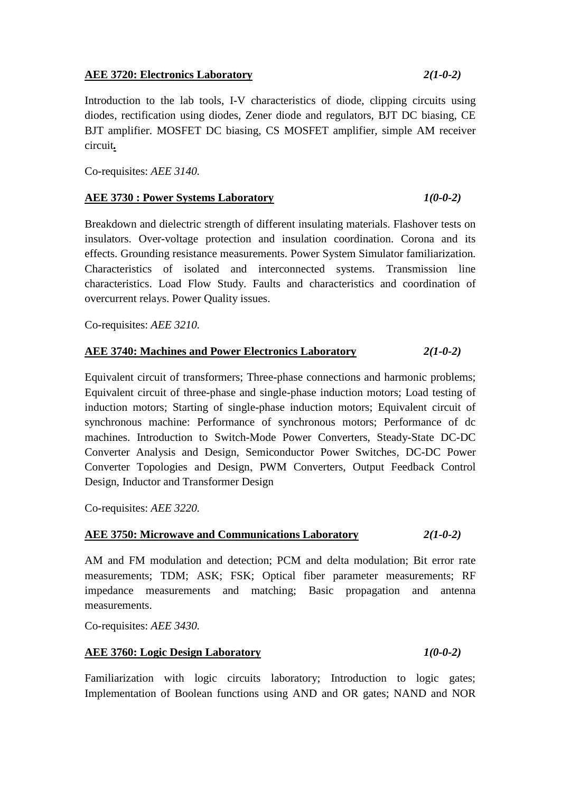### **AEE 3720: Electronics Laboratory** *2(1-0-2)*

Introduction to the lab tools, I-V characteristics of diode, clipping circuits using diodes, rectification using diodes, Zener diode and regulators, BJT DC biasing, CE BJT amplifier. MOSFET DC biasing, CS MOSFET amplifier, simple AM receiver circuit*.*

Co-requisites: *AEE 3140.*

### **AEE 3730 : Power Systems Laboratory** *1(0-0-2)*

Breakdown and dielectric strength of different insulating materials. Flashover tests on insulators. Over-voltage protection and insulation coordination. Corona and its effects. Grounding resistance measurements. Power System Simulator familiarization. Characteristics of isolated and interconnected systems. Transmission line characteristics. Load Flow Study. Faults and characteristics and coordination of overcurrent relays. Power Quality issues.

Co-requisites: *AEE 3210.*

### **AEE 3740: Machines and Power Electronics Laboratory** *2(1-0-2)*

Equivalent circuit of transformers; Three-phase connections and harmonic problems; Equivalent circuit of three-phase and single-phase induction motors; Load testing of induction motors; Starting of single-phase induction motors; Equivalent circuit of synchronous machine: Performance of synchronous motors; Performance of dc machines. Introduction to Switch-Mode Power Converters, Steady-State DC-DC Converter Analysis and Design, Semiconductor Power Switches, DC-DC Power Converter Topologies and Design, PWM Converters, Output Feedback Control Design, Inductor and Transformer Design

Co-requisites: *AEE 3220.*

### **AEE 3750: Microwave and Communications Laboratory** *2(1-0-2)*

AM and FM modulation and detection; PCM and delta modulation; Bit error rate measurements; TDM; ASK; FSK; Optical fiber parameter measurements; RF impedance measurements and matching; Basic propagation and antenna measurements.

Co-requisites: *AEE 3430.*

### **AEE 3760: Logic Design Laboratory** *1(0-0-2)*

Familiarization with logic circuits laboratory; Introduction to logic gates; Implementation of Boolean functions using AND and OR gates; NAND and NOR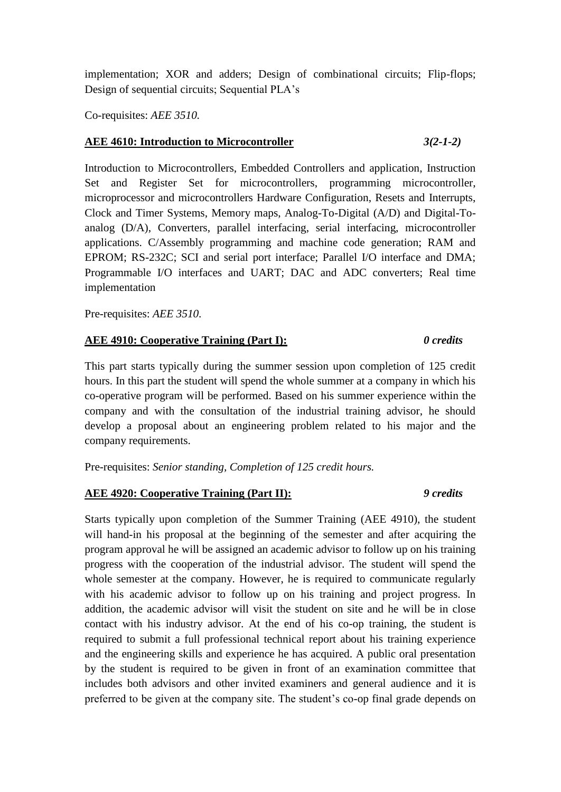implementation; XOR and adders; Design of combinational circuits; Flip-flops; Design of sequential circuits; Sequential PLA's

Co-requisites: *AEE 3510.*

### **AEE 4610: Introduction to Microcontroller** *3(2-1-2)*

Introduction to Microcontrollers, Embedded Controllers and application, Instruction Set and Register Set for microcontrollers, programming microcontroller, microprocessor and microcontrollers Hardware Configuration, Resets and Interrupts, Clock and Timer Systems, Memory maps, Analog-To-Digital (A/D) and Digital-Toanalog (D/A), Converters, parallel interfacing, serial interfacing, microcontroller applications. C/Assembly programming and machine code generation; RAM and EPROM; RS-232C; SCI and serial port interface; Parallel I/O interface and DMA; Programmable I/O interfaces and UART; DAC and ADC converters; Real time implementation

Pre-requisites: *AEE 3510.*

### **AEE 4910: Cooperative Training (Part I):** *0 credits*

This part starts typically during the summer session upon completion of 125 credit hours. In this part the student will spend the whole summer at a company in which his co-operative program will be performed. Based on his summer experience within the company and with the consultation of the industrial training advisor, he should develop a proposal about an engineering problem related to his major and the company requirements.

Pre-requisites: *Senior standing, Completion of 125 credit hours.*

### **AEE 4920: Cooperative Training (Part II):** *9 credits*

Starts typically upon completion of the Summer Training (AEE 4910), the student will hand-in his proposal at the beginning of the semester and after acquiring the program approval he will be assigned an academic advisor to follow up on his training progress with the cooperation of the industrial advisor. The student will spend the whole semester at the company. However, he is required to communicate regularly with his academic advisor to follow up on his training and project progress. In addition, the academic advisor will visit the student on site and he will be in close contact with his industry advisor. At the end of his co-op training, the student is required to submit a full professional technical report about his training experience and the engineering skills and experience he has acquired. A public oral presentation by the student is required to be given in front of an examination committee that includes both advisors and other invited examiners and general audience and it is preferred to be given at the company site. The student's co-op final grade depends on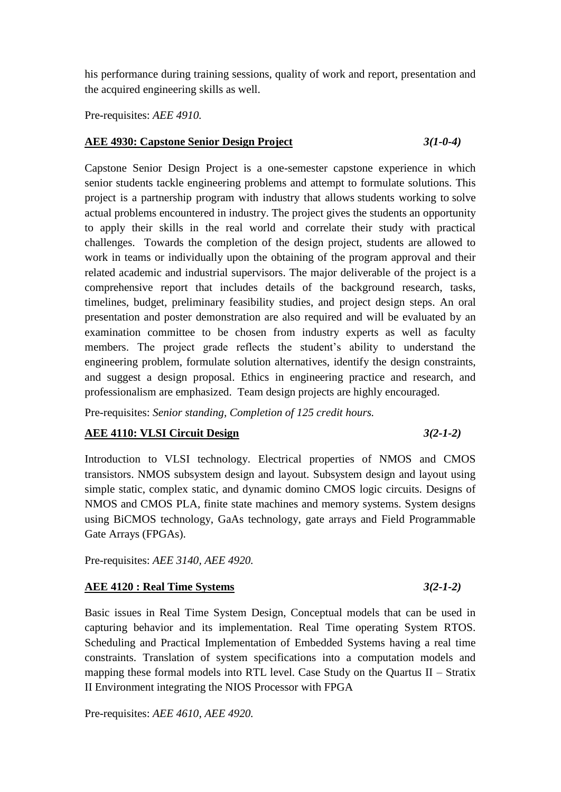his performance during training sessions, quality of work and report, presentation and the acquired engineering skills as well.

Pre-requisites: *AEE 4910.*

### **AEE 4930: Capstone Senior Design Project** *3(1-0-4)*

Capstone Senior Design Project is a one-semester capstone experience in which senior students tackle engineering problems and attempt to formulate solutions. This project is a partnership program with industry that allows students working to solve actual problems encountered in industry. The project gives the students an opportunity to apply their skills in the real world and correlate their study with practical challenges. Towards the completion of the design project, students are allowed to work in teams or individually upon the obtaining of the program approval and their related academic and industrial supervisors. The major deliverable of the project is a comprehensive report that includes details of the background research, tasks, timelines, budget, preliminary feasibility studies, and project design steps. An oral presentation and poster demonstration are also required and will be evaluated by an examination committee to be chosen from industry experts as well as faculty members. The project grade reflects the student's ability to understand the engineering problem, formulate solution alternatives, identify the design constraints, and suggest a design proposal. Ethics in engineering practice and research, and professionalism are emphasized. Team design projects are highly encouraged.

Pre-requisites: *Senior standing, Completion of 125 credit hours.*

### **AEE 4110: VLSI Circuit Design** *3(2-1-2)*

Introduction to VLSI technology. Electrical properties of NMOS and CMOS transistors. NMOS subsystem design and layout. Subsystem design and layout using simple static, complex static, and dynamic domino CMOS logic circuits. Designs of NMOS and CMOS PLA, finite state machines and memory systems. System designs using BiCMOS technology, GaAs technology, gate arrays and Field Programmable Gate Arrays (FPGAs).

Pre-requisites: *AEE 3140, AEE 4920.*

### **AEE 4120 : Real Time Systems** *3(2-1-2)*

Basic issues in Real Time System Design, Conceptual models that can be used in capturing behavior and its implementation. Real Time operating System RTOS. Scheduling and Practical Implementation of Embedded Systems having a real time constraints. Translation of system specifications into a computation models and mapping these formal models into RTL level. Case Study on the Quartus II – Stratix II Environment integrating the NIOS Processor with FPGA

Pre-requisites: *AEE 4610, AEE 4920.*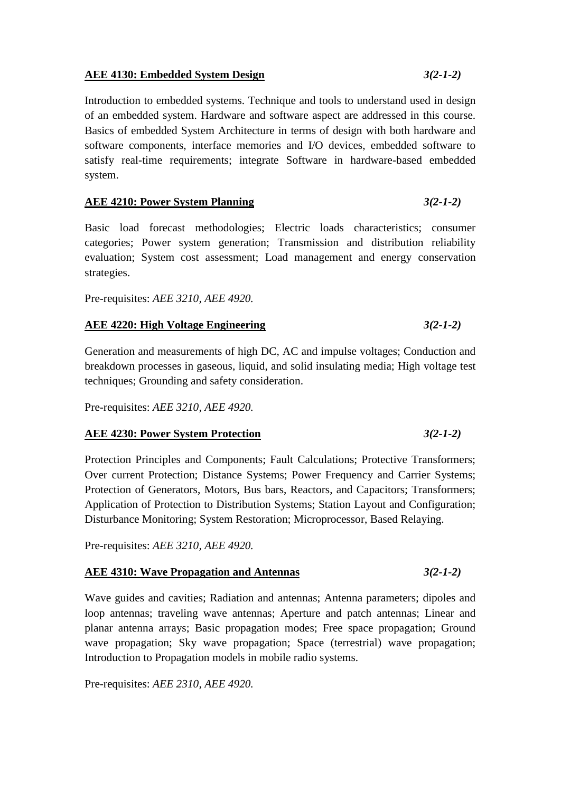### **AEE 4130: Embedded System Design** *3(2-1-2)*

Introduction to embedded systems. Technique and tools to understand used in design of an embedded system. Hardware and software aspect are addressed in this course. Basics of embedded System Architecture in terms of design with both hardware and software components, interface memories and I/O devices, embedded software to satisfy real-time requirements; integrate Software in hardware-based embedded system.

### **AEE 4210: Power System Planning** *3(2-1-2)*

Basic load forecast methodologies; Electric loads characteristics; consumer categories; Power system generation; Transmission and distribution reliability evaluation; System cost assessment; Load management and energy conservation strategies.

Pre-requisites: *AEE 3210, AEE 4920.*

### **AEE 4220: High Voltage Engineering** *3(2-1-2)*

Generation and measurements of high DC, AC and impulse voltages; Conduction and breakdown processes in gaseous, liquid, and solid insulating media; High voltage test techniques; Grounding and safety consideration.

Pre-requisites: *AEE 3210, AEE 4920.*

### **AEE 4230: Power System Protection** *3(2-1-2)*

Protection Principles and Components; Fault Calculations; Protective Transformers; Over current Protection; Distance Systems; Power Frequency and Carrier Systems; Protection of Generators, Motors, Bus bars, Reactors, and Capacitors; Transformers; Application of Protection to Distribution Systems; Station Layout and Configuration; Disturbance Monitoring; System Restoration; Microprocessor, Based Relaying.

Pre-requisites: *AEE 3210, AEE 4920.*

### **AEE 4310: Wave Propagation and Antennas** *3(2-1-2)*

Wave guides and cavities; Radiation and antennas; Antenna parameters; dipoles and loop antennas; traveling wave antennas; Aperture and patch antennas; Linear and planar antenna arrays; Basic propagation modes; Free space propagation; Ground wave propagation; Sky wave propagation; Space (terrestrial) wave propagation; Introduction to Propagation models in mobile radio systems.

Pre-requisites: *AEE 2310, AEE 4920.*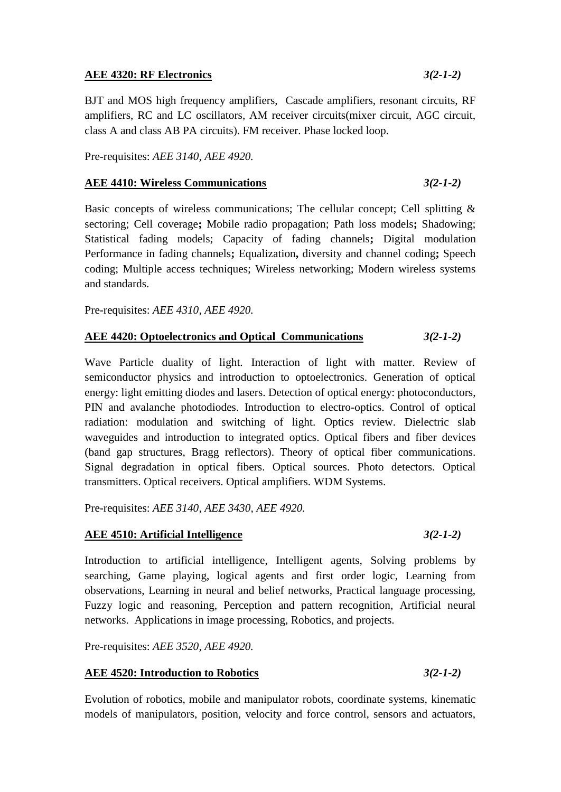### **AEE 4320: RF Electronics** *3(2-1-2)*

BJT and MOS high frequency amplifiers, Cascade amplifiers, resonant circuits, RF amplifiers, RC and LC oscillators, AM receiver circuits(mixer circuit, AGC circuit, class A and class AB PA circuits). FM receiver. Phase locked loop.

Pre-requisites: *AEE 3140, AEE 4920.*

### **AEE 4410: Wireless Communications** *3(2-1-2)*

Basic concepts of wireless communications; The cellular concept; Cell splitting & sectoring; Cell coverage**;** Mobile radio propagation; Path loss models**;** Shadowing; Statistical fading models; Capacity of fading channels**;** Digital modulation Performance in fading channels**;** Equalization**,** diversity and channel coding**;** Speech coding; Multiple access techniques; Wireless networking; Modern wireless systems and standards.

Pre-requisites: *AEE 4310, AEE 4920.*

### **AEE 4420: Optoelectronics and Optical Communications** *3(2-1-2)*

Wave Particle duality of light. Interaction of light with matter. Review of semiconductor physics and introduction to optoelectronics. Generation of optical energy: light emitting diodes and lasers. Detection of optical energy: photoconductors, PIN and avalanche photodiodes. Introduction to electro-optics. Control of optical radiation: modulation and switching of light. Optics review. Dielectric slab waveguides and introduction to integrated optics. Optical fibers and fiber devices (band gap structures, Bragg reflectors). Theory of optical fiber communications. Signal degradation in optical fibers. Optical sources. Photo detectors. Optical transmitters. Optical receivers. Optical amplifiers. WDM Systems.

Pre-requisites: *AEE 3140, AEE 3430, AEE 4920.*

### **AEE 4510: Artificial Intelligence** *3(2-1-2)*

Introduction to artificial intelligence, Intelligent agents, Solving problems by searching, Game playing, logical agents and first order logic, Learning from observations, Learning in neural and belief networks, Practical language processing, Fuzzy logic and reasoning, Perception and pattern recognition, Artificial neural networks. Applications in image processing, Robotics, and projects.

Pre-requisites: *AEE 3520, AEE 4920.*

### **AEE 4520: Introduction to Robotics** *3(2-1-2)*

Evolution of robotics, mobile and manipulator robots, coordinate systems, kinematic models of manipulators, position, velocity and force control, sensors and actuators,